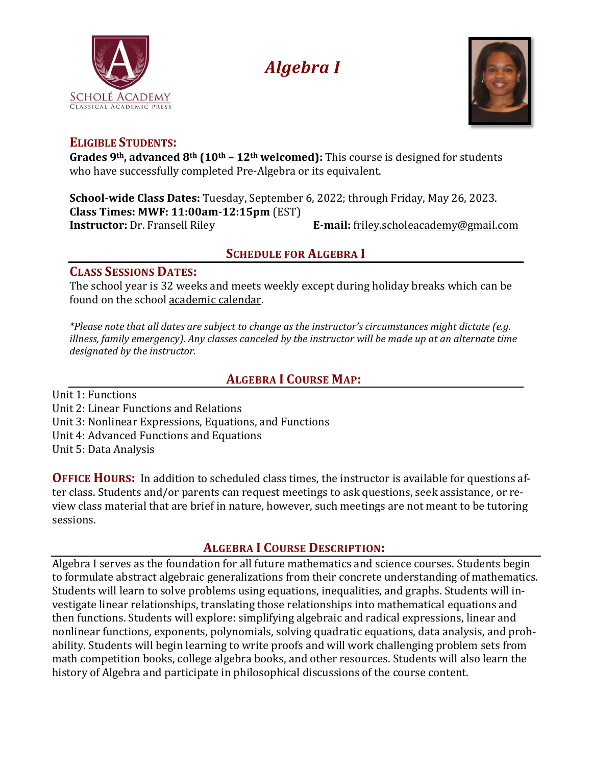

# *Algebra I*



## **ELIGIBLE STUDENTS:**

**Grades 9th, advanced 8th (10th – 12th welcomed):** This course is designed for students who have successfully completed Pre-Algebra or its equivalent.

**School-wide Class Dates:** Tuesday, September 6, 2022; through Friday, May 26, 2023. **Class Times: MWF: 11:00am-12:15pm** (EST) **Instructor:** Dr. Fransell Riley **E-mail:** [friley.scholeacademy@gmail.com](mailto:friley.scholeacademy@gmail.com)

## **SCHEDULE FOR ALGEBRA I**

#### **CLASS SESSIONS DATES:**

The school year is 32 weeks and meets weekly except during holiday breaks which can be found on the school [academic](https://scholeacademy.com/academic-calendar/) calendar.

*\*Please note that all dates are subject to change as the instructor's circumstances might dictate (e.g. illness, family emergency). Any classes canceled by the instructor will be made up at an alternate time designated by the instructor.*

# **ALGEBRA I COURSE MAP:**

Unit 1: Functions Unit 2: Linear Functions and Relations Unit 3: Nonlinear Expressions, Equations, and Functions

Unit 4: Advanced Functions and Equations

Unit 5: Data Analysis

**OFFICE HOURS:** In addition to scheduled class times, the instructor is available for questions after class. Students and/or parents can request meetings to ask questions, seek assistance, or review class material that are brief in nature, however, such meetings are not meant to be tutoring sessions.

## **ALGEBRA I COURSE DESCRIPTION:**

Algebra I serves as the foundation for all future mathematics and science courses. Students begin to formulate abstract algebraic generalizations from their concrete understanding of mathematics. Students will learn to solve problems using equations, inequalities, and graphs. Students will investigate linear relationships, translating those relationships into mathematical equations and then functions. Students will explore: simplifying algebraic and radical expressions, linear and nonlinear functions, exponents, polynomials, solving quadratic equations, data analysis, and probability. Students will begin learning to write proofs and will work challenging problem sets from math competition books, college algebra books, and other resources. Students will also learn the history of Algebra and participate in philosophical discussions of the course content.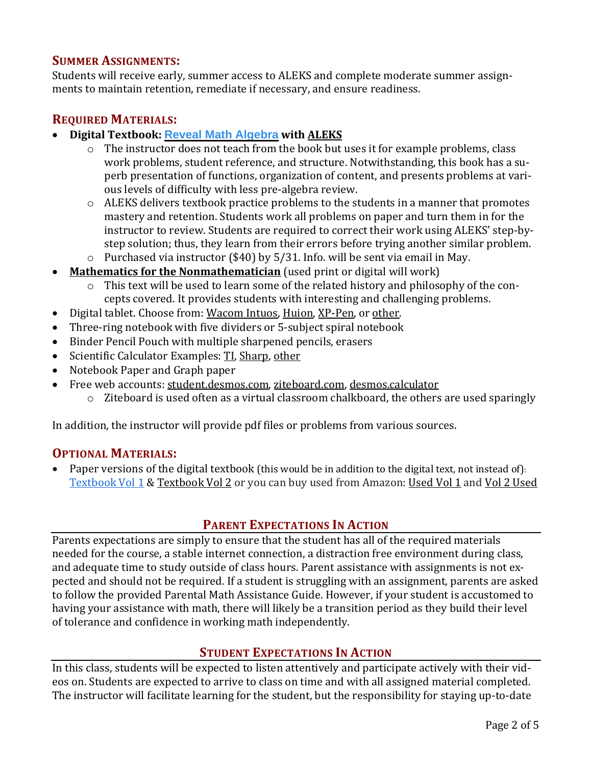#### **SUMMER ASSIGNMENTS:**

Students will receive early, summer access to ALEKS and complete moderate summer assignments to maintain retention, remediate if necessary, and ensure readiness.

### **REQUIRED MATERIALS:**

- **Digital Textbook: Reveal Math [Algebra](https://s3.amazonaws.com/ecommerce-prod.mheducation.com/unitas/school/explore/sites/reveal-math/program-overview-9-12.pdf) with [ALEKS](https://www.aleks.com/)**
	- o The instructor does not teach from the book but uses it for example problems, class work problems, student reference, and structure. Notwithstanding, this book has a superb presentation of functions, organization of content, and presents problems at various levels of difficulty with less pre-algebra review.
	- o ALEKS delivers textbook practice problems to the students in a manner that promotes mastery and retention. Students work all problems on paper and turn them in for the instructor to review. Students are required to correct their work using ALEKS' step-bystep solution; thus, they learn from their errors before trying another similar problem. o Purchased via instructor (\$40) by 5/31. Info. will be sent via email in May.
- **Mathematics for the [Nonmathematician](https://www.amazon.com/Mathematics-Nonmathematician-Morris-Kline/dp/0486248232/ref=sr_1_4?keywords=mathematics+for+the+non-mathematician&qid=1643413095&sprefix=mathematics+for+mathematicians%2Caps%2C123&sr=8-4)** (used print or digital will work)
	- o This text will be used to learn some of the related history and philosophy of the concepts covered. It provides students with interesting and challenging problems.
- Digital tablet. Choose from: [Wacom](https://www.amazon.com/Wacom-Wireless-Software-Pistachio-CTL4100WLE0/dp/B079J7DCXN/ref=sr_1_2_sspa?crid=16N26PUPEMN1T&keywords=wacom%2Btablet&qid=1643413170&sprefix=wacom%2Btablet%2Caps%2C121&sr=8-2-spons&spLa=ZW5jcnlwdGVkUXVhbGlmaWVyPUExQlFWRkZLUzJNTlJLJmVuY3J5cHRlZElkPUEwMzIwNzA5SUgzUEpWSk9FTTI5JmVuY3J5cHRlZEFkSWQ9QTA2ODQ1MjAxRkM5NkhLVlJKMTEyJndpZGdldE5hbWU9c3BfYXRmJmFjdGlvbj1jbGlja1JlZGlyZWN0JmRvTm90TG9nQ2xpY2s9dHJ1ZQ&th=1) Intuos, [Huion,](https://www.amazon.com/Inspiroy-H640P-Graphics-Battery-Free-Sensitivity/dp/B075T6MTJX/ref=sr_1_1_sspa?crid=23ZG1NBBI8H8E&keywords=huion+tablet&qid=1643413206&sprefix=huiontablet%2Caps%2C119&sr=8-1-spons&psc=1&spLa=ZW5jcnlwdGVkUXVhbGlmaWVyPUEzS0gyNkFQUTJWMkczJmVuY3J5cHRlZElkPUEwNTg2NjY3MU1UWkdOSUdUQUg1VyZlbmNyeXB0ZWRBZElkPUEwNTY2NTUxMlo4TTFMSzk3UDlPTiZ3aWRnZXROYW1lPXNwX2F0ZiZhY3Rpb249Y2xpY2tSZWRpcmVjdCZkb05vdExvZ0NsaWNrPXRydWU=) [XP-Pen,](https://www.amazon.com/StarG640-Ultrathin-Graphics-Battery-Free-Pressure/dp/B078YR2MTF/ref=sr_1_4?crid=2BPMO9JW27NEY&keywords=digital+tablet&qid=1643413262&sprefix=digital+tablet%2Caps%2C120&sr=8-4) or [other.](https://www.amazon.com/s?k=digital+tablet&crid=2BPMO9JW27NEY&sprefix=digital+tablet%2Caps%2C120&ref=nb_sb_noss_1)
- Three-ring notebook with five dividers or 5-subject spiral notebook
- Binder Pencil Pouch with multiple sharpened pencils, erasers
- Scientific Calculator Examples: [TI,](https://www.amazon.com/Texas-Instruments-Scientific-Calculator-Accents/dp/B00000JBNX/ref=sr_1_4?crid=1YR7Z1860L5N8&keywords=scientific%2Bcalculator&qid=1643413403&sprefix=scientific%2Bcalculator%2Caps%2C126&sr=8-4&th=1) [Sharp,](https://www.amazon.com/Casio-fx-300ESPLS2-Scientific-Calculator-Textbook/dp/B086Z71GQ3/ref=sr_1_5?crid=1YR7Z1860L5N8&keywords=scientific+calculator&qid=1643413403&sprefix=scientific+calculator%2Caps%2C126&sr=8-5) [other](https://www.amazon.com/s?k=scientific+calculator&crid=1YR7Z1860L5N8&sprefix=scientific+calculator%2Caps%2C126&ref=nb_sb_noss_1)
- Notebook Paper and Graph paper
- Free web accounts: [student.desmos.com,](https://student.desmos.com/) [ziteboard.com,](https://ziteboard.com/) [desmos.calculator](https://www.desmos.com/calculator)
	- o Ziteboard is used often as a virtual classroom chalkboard, the others are used sparingly

In addition, the instructor will provide pdf files or problems from various sources.

#### **OPTIONAL MATERIALS:**

• Paper versions of the digital textbook (this would be in addition to the digital text, not instead of). [Textbook](https://www.mheducation.com/prek-12/product/reveal-algebra-1-interactive-student-edition-volume-1/9780076625994.html) Vol 1 & [Textbook](https://www.mheducation.com/prek-12/product/reveal-algebra-1-interactive-student-edition-volume-2/9780078997433.html) Vol 2 or you can buy used from Amazon: [Used](https://www.amazon.com/Algebra-Interactive-Student-MERRILL-ALGEBRA/dp/0076625990/ref=sr_1_1?dchild=1&keywords=ISBN+13%3A+9780076625994&qid=1625674744&sr=8-1) Vol 1 and Vol 2 [Used](https://www.amazon.com/Algebra-Interactive-Student-MERRILL-ALGEBRA/dp/0078997437/ref=sr_1_1?dchild=1&keywords=ISBN+13%3A+9780078997433&qid=1625674678&sr=8-1)

#### **PARENT EXPECTATIONS IN ACTION**

Parents expectations are simply to ensure that the student has all of the required materials needed for the course, a stable internet connection, a distraction free environment during class, and adequate time to study outside of class hours. Parent assistance with assignments is not expected and should not be required. If a student is struggling with an assignment, parents are asked to follow the provided Parental Math Assistance Guide. However, if your student is accustomed to having your assistance with math, there will likely be a transition period as they build their level of tolerance and confidence in working math independently.

#### **STUDENT EXPECTATIONS IN ACTION**

In this class, students will be expected to listen attentively and participate actively with their videos on. Students are expected to arrive to class on time and with all assigned material completed. The instructor will facilitate learning for the student, but the responsibility for staying up-to-date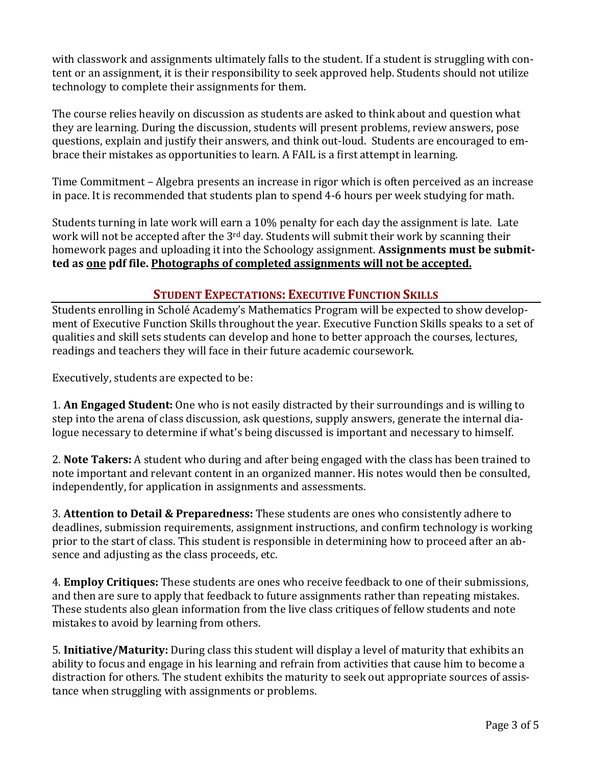with classwork and assignments ultimately falls to the student. If a student is struggling with content or an assignment, it is their responsibility to seek approved help. Students should not utilize technology to complete their assignments for them.

The course relies heavily on discussion as students are asked to think about and question what they are learning. During the discussion, students will present problems, review answers, pose questions, explain and justify their answers, and think out-loud. Students are encouraged to embrace their mistakes as opportunities to learn. A FAIL is a first attempt in learning.

Time Commitment – Algebra presents an increase in rigor which is often perceived as an increase in pace. It is recommended that students plan to spend 4-6 hours per week studying for math.

Students turning in late work will earn a 10% penalty for each day the assignment is late. Late work will not be accepted after the 3<sup>rd</sup> day. Students will submit their work by scanning their homework pages and uploading it into the Schoology assignment. **Assignments must be submitted as one pdf file. Photographs of completed assignments will not be accepted.**

## **STUDENT EXPECTATIONS: EXECUTIVE FUNCTION SKILLS**

Students enrolling in Scholé Academy's Mathematics Program will be expected to show development of Executive Function Skills throughout the year. Executive Function Skills speaks to a set of qualities and skill sets students can develop and hone to better approach the courses, lectures, readings and teachers they will face in their future academic coursework.

Executively, students are expected to be:

1. **An Engaged Student:** One who is not easily distracted by their surroundings and is willing to step into the arena of class discussion, ask questions, supply answers, generate the internal dialogue necessary to determine if what's being discussed is important and necessary to himself.

2. **Note Takers:** A student who during and after being engaged with the class has been trained to note important and relevant content in an organized manner. His notes would then be consulted, independently, for application in assignments and assessments.

3. **Attention to Detail & Preparedness:** These students are ones who consistently adhere to deadlines, submission requirements, assignment instructions, and confirm technology is working prior to the start of class. This student is responsible in determining how to proceed after an absence and adjusting as the class proceeds, etc.

4. **Employ Critiques:** These students are ones who receive feedback to one of their submissions, and then are sure to apply that feedback to future assignments rather than repeating mistakes. These students also glean information from the live class critiques of fellow students and note mistakes to avoid by learning from others.

5. **Initiative/Maturity:** During class this student will display a level of maturity that exhibits an ability to focus and engage in his learning and refrain from activities that cause him to become a distraction for others. The student exhibits the maturity to seek out appropriate sources of assistance when struggling with assignments or problems.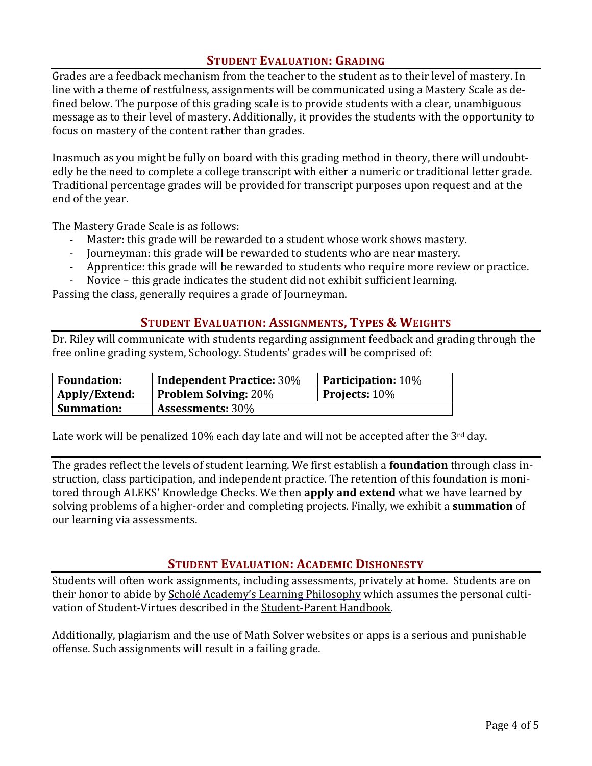#### **STUDENT EVALUATION: GRADING**

Grades are a feedback mechanism from the teacher to the student as to their level of mastery. In line with a theme of restfulness, assignments will be communicated using a Mastery Scale as defined below. The purpose of this grading scale is to provide students with a clear, unambiguous message as to their level of mastery. Additionally, it provides the students with the opportunity to focus on mastery of the content rather than grades.

Inasmuch as you might be fully on board with this grading method in theory, there will undoubtedly be the need to complete a college transcript with either a numeric or traditional letter grade. Traditional percentage grades will be provided for transcript purposes upon request and at the end of the year.

The Mastery Grade Scale is as follows:

- Master: this grade will be rewarded to a student whose work shows mastery.
- Journeyman: this grade will be rewarded to students who are near mastery.
- Apprentice: this grade will be rewarded to students who require more review or practice.
- Novice this grade indicates the student did not exhibit sufficient learning.

Passing the class, generally requires a grade of Journeyman.

#### **STUDENT EVALUATION: ASSIGNMENTS, TYPES & WEIGHTS**

Dr. Riley will communicate with students regarding assignment feedback and grading through the free online grading system, Schoology. Students' grades will be comprised of:

| <b>Foundation:</b> | <b>Independent Practice: 30%</b> | <b>Participation: 10%</b> |
|--------------------|----------------------------------|---------------------------|
| Apply/Extend:      | <b>Problem Solving: 20%</b>      | <b>Projects:</b> $10\%$   |
| <b>Summation:</b>  | <b>Assessments: 30%</b>          |                           |

Late work will be penalized  $10\%$  each day late and will not be accepted after the  $3<sup>rd</sup>$  day.

The grades reflect the levels of student learning. We first establish a **foundation** through class instruction, class participation, and independent practice. The retention of this foundation is monitored through ALEKS' Knowledge Checks. We then **apply and extend** what we have learned by solving problems of a higher-order and completing projects. Finally, we exhibit a **summation** of our learning via assessments.

#### **STUDENT EVALUATION: ACADEMIC DISHONESTY**

Students will often work assignments, including assessments, privately at home. Students are on their honor to abide by Scholé Academy's Learning [Philosophy](http://www.scholeacademy.com/student-parent-handbook/) which assumes the personal cultivation of Student-Virtues described in the [Student-Parent](https://scholeacademy.com/student-parent-handbook/) Handbook.

Additionally, plagiarism and the use of Math Solver websites or apps is a serious and punishable offense. Such assignments will result in a failing grade.